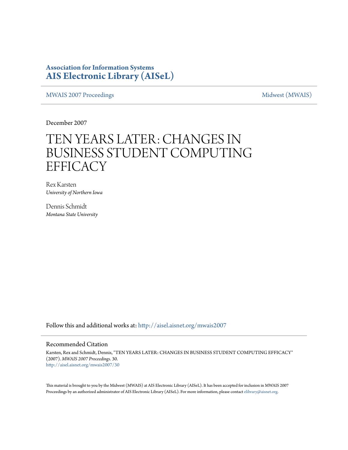### **Association for Information Systems [AIS Electronic Library \(AISeL\)](http://aisel.aisnet.org?utm_source=aisel.aisnet.org%2Fmwais2007%2F30&utm_medium=PDF&utm_campaign=PDFCoverPages)**

[MWAIS 2007 Proceedings](http://aisel.aisnet.org/mwais2007?utm_source=aisel.aisnet.org%2Fmwais2007%2F30&utm_medium=PDF&utm_campaign=PDFCoverPages) and the matrix of the [Midwest \(MWAIS\)](http://aisel.aisnet.org/mwais?utm_source=aisel.aisnet.org%2Fmwais2007%2F30&utm_medium=PDF&utm_campaign=PDFCoverPages)

December 2007

# TEN YEARS LATER: CHANGES IN BUSINESS STUDENT COMPUTING **EFFICACY**

Rex Karsten *University of Northern Iowa*

Dennis Schmidt *Montana State University*

Follow this and additional works at: [http://aisel.aisnet.org/mwais2007](http://aisel.aisnet.org/mwais2007?utm_source=aisel.aisnet.org%2Fmwais2007%2F30&utm_medium=PDF&utm_campaign=PDFCoverPages)

#### Recommended Citation

Karsten, Rex and Schmidt, Dennis, "TEN YEARS LATER: CHANGES IN BUSINESS STUDENT COMPUTING EFFICACY" (2007). *MWAIS 2007 Proceedings*. 30. [http://aisel.aisnet.org/mwais2007/30](http://aisel.aisnet.org/mwais2007/30?utm_source=aisel.aisnet.org%2Fmwais2007%2F30&utm_medium=PDF&utm_campaign=PDFCoverPages)

This material is brought to you by the Midwest (MWAIS) at AIS Electronic Library (AISeL). It has been accepted for inclusion in MWAIS 2007 Proceedings by an authorized administrator of AIS Electronic Library (AISeL). For more information, please contact [elibrary@aisnet.org](mailto:elibrary@aisnet.org%3E).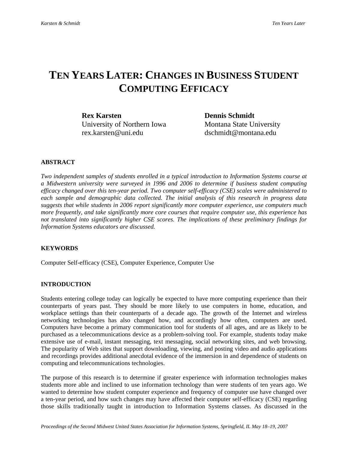## **TEN YEARS LATER: CHANGES IN BUSINESS STUDENT COMPUTING EFFICACY**

**Rex Karsten Dennis Schmidt** *University of Northern Iowa* Montana State University rex.karsten@uni.edu dschmidt@montana.edu

#### **ABSTRACT**

*Two independent samples of students enrolled in a typical introduction to Information Systems course at a Midwestern university were surveyed in 1996 and 2006 to determine if business student computing efficacy changed over this ten-year period. Two computer self-efficacy (CSE) scales were administered to each sample and demographic data collected. The initial analysis of this research in progress data suggests that while students in 2006 report significantly more computer experience, use computers much more frequently, and take significantly more core courses that require computer use, this experience has not translated into significantly higher CSE scores. The implications of these preliminary findings for Information Systems educators are discussed.* 

#### **KEYWORDS**

Computer Self-efficacy (CSE), Computer Experience, Computer Use

#### **INTRODUCTION**

Students entering college today can logically be expected to have more computing experience than their counterparts of years past. They should be more likely to use computers in home, education, and workplace settings than their counterparts of a decade ago. The growth of the Internet and wireless networking technologies has also changed how, and accordingly how often, computers are used. Computers have become a primary communication tool for students of all ages, and are as likely to be purchased as a telecommunications device as a problem-solving tool. For example, students today make extensive use of e-mail, instant messaging, text messaging, social networking sites, and web browsing. The popularity of Web sites that support downloading, viewing, and posting video and audio applications and recordings provides additional anecdotal evidence of the immersion in and dependence of students on computing and telecommunications technologies.

The purpose of this research is to determine if greater experience with information technologies makes students more able and inclined to use information technology than were students of ten years ago. We wanted to determine how student computer experience and frequency of computer use have changed over a ten-year period, and how such changes may have affected their computer self-efficacy (CSE) regarding those skills traditionally taught in introduction to Information Systems classes. As discussed in the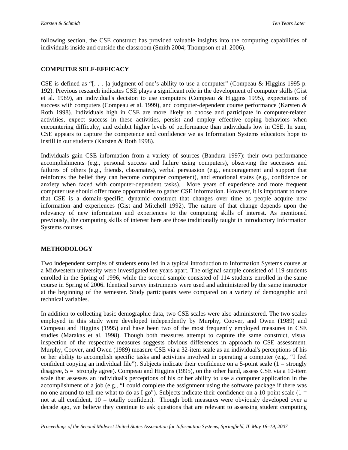following section, the CSE construct has provided valuable insights into the computing capabilities of individuals inside and outside the classroom (Smith 2004; Thompson et al. 2006).

#### **COMPUTER SELF-EFFICACY**

CSE is defined as "[. . . ]a judgment of one's ability to use a computer" (Compeau & Higgins 1995 p. 192). Previous research indicates CSE plays a significant role in the development of computer skills (Gist et al. 1989), an individual's decision to use computers (Compeau & Higgins 1995), expectations of success with computers (Compeau et al. 1999), and computer-dependent course performance (Karsten & Roth 1998). Individuals high in CSE are more likely to choose and participate in computer-related activities, expect success in these activities, persist and employ effective coping behaviors when encountering difficulty, and exhibit higher levels of performance than individuals low in CSE. In sum, CSE appears to capture the competence and confidence we as Information Systems educators hope to instill in our students (Karsten & Roth 1998).

Individuals gain CSE information from a variety of sources (Bandura 1997): their own performance accomplishments (e.g., personal success and failure using computers), observing the successes and failures of others (e.g., friends, classmates), verbal persuasion (e.g., encouragement and support that reinforces the belief they can become computer competent), and emotional states (e.g., confidence or anxiety when faced with computer-dependent tasks). More years of experience and more frequent computer use should offer more opportunities to gather CSE information. However, it is important to note that CSE is a domain-specific, dynamic construct that changes over time as people acquire new information and experiences (Gist and Mitchell 1992). The nature of that change depends upon the relevancy of new information and experiences to the computing skills of interest. As mentioned previously, the computing skills of interest here are those traditionally taught in introductory Information Systems courses.

#### **METHODOLOGY**

Two independent samples of students enrolled in a typical introduction to Information Systems course at a Midwestern university were investigated ten years apart. The original sample consisted of 119 students enrolled in the Spring of 1996, while the second sample consisted of 114 students enrolled in the same course in Spring of 2006. Identical survey instruments were used and administered by the same instructor at the beginning of the semester. Study participants were compared on a variety of demographic and technical variables.

In addition to collecting basic demographic data, two CSE scales were also administered. The two scales employed in this study were developed independently by Murphy, Coover, and Owen (1989) and Compeau and Higgins (1995) and have been two of the most frequently employed measures in CSE studies (Marakas et al. 1998). Though both measures attempt to capture the same construct, visual inspection of the respective measures suggests obvious differences in approach to CSE assessment. Murphy, Coover, and Owen (1989) measure CSE via a 32-item scale as an individual's perceptions of his or her ability to accomplish specific tasks and activities involved in operating a computer (e.g., "I feel confident copying an individual file"). Subjects indicate their confidence on a 5-point scale  $(1 = \text{strongly})$ disagree, 5 = strongly agree). Compeau and Higgins (1995), on the other hand, assess CSE via a 10-item scale that assesses an individual's perceptions of his or her ability to use a computer application in the accomplishment of a job (e.g., "I could complete the assignment using the software package if there was no one around to tell me what to do as I go"). Subjects indicate their confidence on a 10-point scale ( $1 =$ not at all confident, 10 = totally confident). Though both measures were obviously developed over a decade ago, we believe they continue to ask questions that are relevant to assessing student computing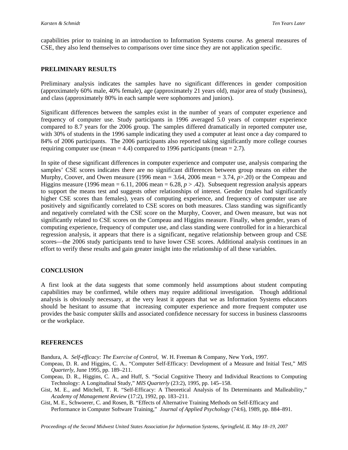capabilities prior to training in an introduction to Information Systems course. As general measures of CSE, they also lend themselves to comparisons over time since they are not application specific.

#### **PRELIMINARY RESULTS**

Preliminary analysis indicates the samples have no significant differences in gender composition (approximately 60% male, 40% female), age (approximately 21 years old), major area of study (business), and class (approximately 80% in each sample were sophomores and juniors).

Significant differences between the samples exist in the number of years of computer experience and frequency of computer use. Study participants in 1996 averaged 5.0 years of computer experience compared to 8.7 years for the 2006 group. The samples differed dramatically in reported computer use, with 30% of students in the 1996 sample indicating they used a computer at least once a day compared to 84% of 2006 participants. The 2006 participants also reported taking significantly more college courses requiring computer use (mean  $= 4.4$ ) compared to 1996 participants (mean  $= 2.7$ ).

In spite of these significant differences in computer experience and computer use, analysis comparing the samples' CSE scores indicates there are no significant differences between group means on either the Murphy, Coover, and Owen measure (1996 mean = 3.64, 2006 mean = 3.74, *p*>.20) or the Compeau and Higgins measure (1996 mean  $= 6.11$ , 2006 mean  $= 6.28$ ,  $p > .42$ ). Subsequent regression analysis appears to support the means test and suggests other relationships of interest. Gender (males had significantly higher CSE scores than females), years of computing experience, and frequency of computer use are positively and significantly correlated to CSE scores on both measures. Class standing was significantly and negatively correlated with the CSE score on the Murphy, Coover, and Owen measure, but was not significantly related to CSE scores on the Compeau and Higgins measure. Finally, when gender, years of computing experience, frequency of computer use, and class standing were controlled for in a hierarchical regression analysis, it appears that there is a significant, negative relationship between group and CSE scores—the 2006 study participants tend to have lower CSE scores. Additional analysis continues in an effort to verify these results and gain greater insight into the relationship of all these variables.

#### **CONCLUSION**

A first look at the data suggests that some commonly held assumptions about student computing capabilities may be confirmed, while others may require additional investigation. Though additional analysis is obviously necessary, at the very least it appears that we as Information Systems educators should be hesitant to assume that increasing computer experience and more frequent computer use provides the basic computer skills and associated confidence necessary for success in business classrooms or the workplace.

#### **REFERENCES**

Bandura, A. *Self-efficacy: The Exercise of Control*, W. H. Freeman & Company, New York, 1997.

- Compeau, D. R. and Higgins, C. A.. "Computer Self-Efficacy: Development of a Measure and Initial Test," *MIS Quarterly*, June 1995, pp. 189–211.
- Compeau, D. R., Higgins, C. A., and Huff, S. "Social Cognitive Theory and Individual Reactions to Computing Technology: A Longitudinal Study," *MIS Quarterly* (23:2), 1995, pp. 145–158.
- Gist, M. E., and Mitchell, T. R. "Self-Efficacy: A Theoretical Analysis of Its Determinants and Malleability," *Academy of Management Review* (17:2), 1992, pp. 183–211.
- Gist, M. E., Schwoerer, C. and Rosen, B. "Effects of Alternative Training Methods on Self-Efficacy and Performance in Computer Software Training," *Journal of Applied Psychology* (74:6), 1989, pp. 884–891.